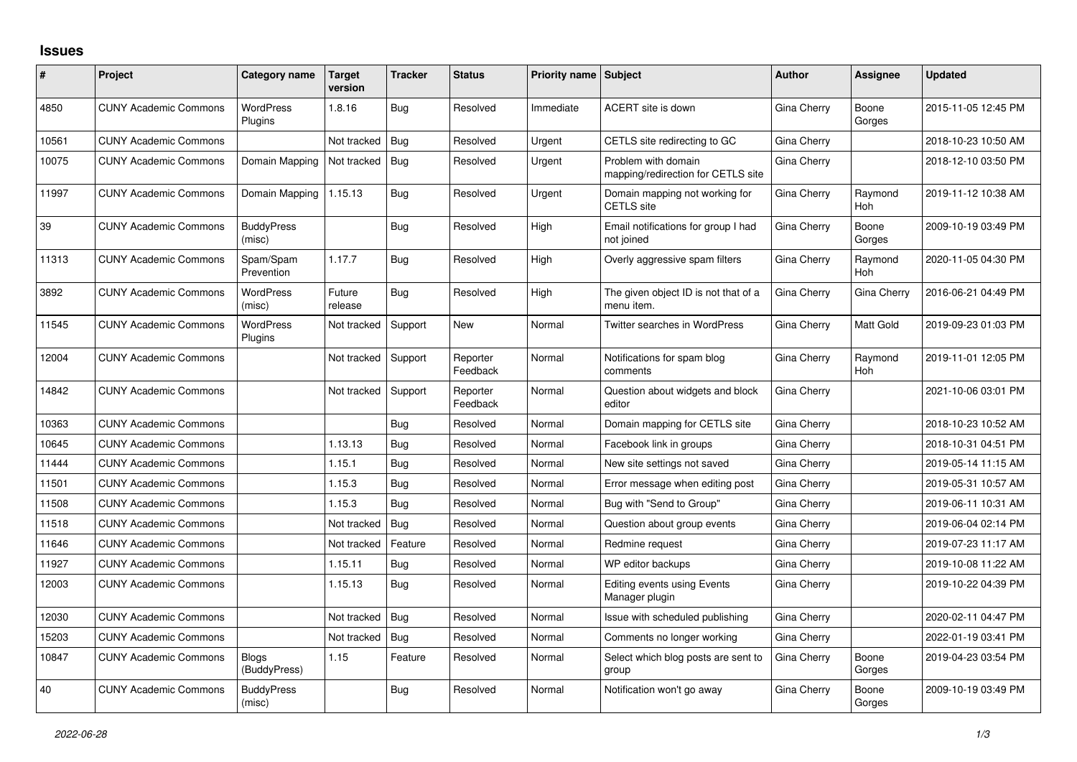## **Issues**

| #     | Project                      | Category name                | <b>Target</b><br>version | <b>Tracker</b> | <b>Status</b>        | <b>Priority name Subject</b> |                                                           | <b>Author</b> | Assignee              | <b>Updated</b>      |
|-------|------------------------------|------------------------------|--------------------------|----------------|----------------------|------------------------------|-----------------------------------------------------------|---------------|-----------------------|---------------------|
| 4850  | <b>CUNY Academic Commons</b> | <b>WordPress</b><br>Plugins  | 1.8.16                   | <b>Bug</b>     | Resolved             | Immediate                    | ACERT site is down                                        | Gina Cherry   | Boone<br>Gorges       | 2015-11-05 12:45 PM |
| 10561 | <b>CUNY Academic Commons</b> |                              | Not tracked              | Bug            | Resolved             | Urgent                       | CETLS site redirecting to GC                              | Gina Cherry   |                       | 2018-10-23 10:50 AM |
| 10075 | <b>CUNY Academic Commons</b> | Domain Mapping               | Not tracked              | Bug            | Resolved             | Urgent                       | Problem with domain<br>mapping/redirection for CETLS site | Gina Cherry   |                       | 2018-12-10 03:50 PM |
| 11997 | <b>CUNY Academic Commons</b> | Domain Mapping               | 1.15.13                  | Bug            | Resolved             | Urgent                       | Domain mapping not working for<br><b>CETLS</b> site       | Gina Cherry   | Raymond<br>Hoh        | 2019-11-12 10:38 AM |
| 39    | <b>CUNY Academic Commons</b> | <b>BuddyPress</b><br>(misc)  |                          | Bug            | Resolved             | High                         | Email notifications for group I had<br>not joined         | Gina Cherry   | Boone<br>Gorges       | 2009-10-19 03:49 PM |
| 11313 | <b>CUNY Academic Commons</b> | Spam/Spam<br>Prevention      | 1.17.7                   | Bug            | Resolved             | High                         | Overly aggressive spam filters                            | Gina Cherry   | Raymond<br>Hoh        | 2020-11-05 04:30 PM |
| 3892  | <b>CUNY Academic Commons</b> | <b>WordPress</b><br>(misc)   | Future<br>release        | Bug            | Resolved             | High                         | The given object ID is not that of a<br>menu item.        | Gina Cherry   | Gina Cherry           | 2016-06-21 04:49 PM |
| 11545 | <b>CUNY Academic Commons</b> | <b>WordPress</b><br>Plugins  | Not tracked              | Support        | <b>New</b>           | Normal                       | Twitter searches in WordPress                             | Gina Cherry   | Matt Gold             | 2019-09-23 01:03 PM |
| 12004 | <b>CUNY Academic Commons</b> |                              | Not tracked              | Support        | Reporter<br>Feedback | Normal                       | Notifications for spam blog<br>comments                   | Gina Cherry   | Raymond<br><b>Hoh</b> | 2019-11-01 12:05 PM |
| 14842 | <b>CUNY Academic Commons</b> |                              | Not tracked              | Support        | Reporter<br>Feedback | Normal                       | Question about widgets and block<br>editor                | Gina Cherry   |                       | 2021-10-06 03:01 PM |
| 10363 | <b>CUNY Academic Commons</b> |                              |                          | Bug            | Resolved             | Normal                       | Domain mapping for CETLS site                             | Gina Cherry   |                       | 2018-10-23 10:52 AM |
| 10645 | <b>CUNY Academic Commons</b> |                              | 1.13.13                  | Bug            | Resolved             | Normal                       | Facebook link in groups                                   | Gina Cherry   |                       | 2018-10-31 04:51 PM |
| 11444 | <b>CUNY Academic Commons</b> |                              | 1.15.1                   | Bug            | Resolved             | Normal                       | New site settings not saved                               | Gina Cherry   |                       | 2019-05-14 11:15 AM |
| 11501 | <b>CUNY Academic Commons</b> |                              | 1.15.3                   | Bug            | Resolved             | Normal                       | Error message when editing post                           | Gina Cherry   |                       | 2019-05-31 10:57 AM |
| 11508 | <b>CUNY Academic Commons</b> |                              | 1.15.3                   | Bug            | Resolved             | Normal                       | Bug with "Send to Group"                                  | Gina Cherry   |                       | 2019-06-11 10:31 AM |
| 11518 | <b>CUNY Academic Commons</b> |                              | Not tracked              | Bug            | Resolved             | Normal                       | Question about group events                               | Gina Cherry   |                       | 2019-06-04 02:14 PM |
| 11646 | <b>CUNY Academic Commons</b> |                              | Not tracked              | Feature        | Resolved             | Normal                       | Redmine request                                           | Gina Cherry   |                       | 2019-07-23 11:17 AM |
| 11927 | <b>CUNY Academic Commons</b> |                              | 1.15.11                  | Bug            | Resolved             | Normal                       | WP editor backups                                         | Gina Cherry   |                       | 2019-10-08 11:22 AM |
| 12003 | <b>CUNY Academic Commons</b> |                              | 1.15.13                  | <b>Bug</b>     | Resolved             | Normal                       | Editing events using Events<br>Manager plugin             | Gina Cherry   |                       | 2019-10-22 04:39 PM |
| 12030 | <b>CUNY Academic Commons</b> |                              | Not tracked              | <b>Bug</b>     | Resolved             | Normal                       | Issue with scheduled publishing                           | Gina Cherry   |                       | 2020-02-11 04:47 PM |
| 15203 | <b>CUNY Academic Commons</b> |                              | Not tracked              | Bug            | Resolved             | Normal                       | Comments no longer working                                | Gina Cherry   |                       | 2022-01-19 03:41 PM |
| 10847 | <b>CUNY Academic Commons</b> | <b>Blogs</b><br>(BuddyPress) | 1.15                     | Feature        | Resolved             | Normal                       | Select which blog posts are sent to<br>group              | Gina Cherry   | Boone<br>Gorges       | 2019-04-23 03:54 PM |
| 40    | <b>CUNY Academic Commons</b> | <b>BuddyPress</b><br>(misc)  |                          | Bug            | Resolved             | Normal                       | Notification won't go away                                | Gina Cherry   | Boone<br>Gorges       | 2009-10-19 03:49 PM |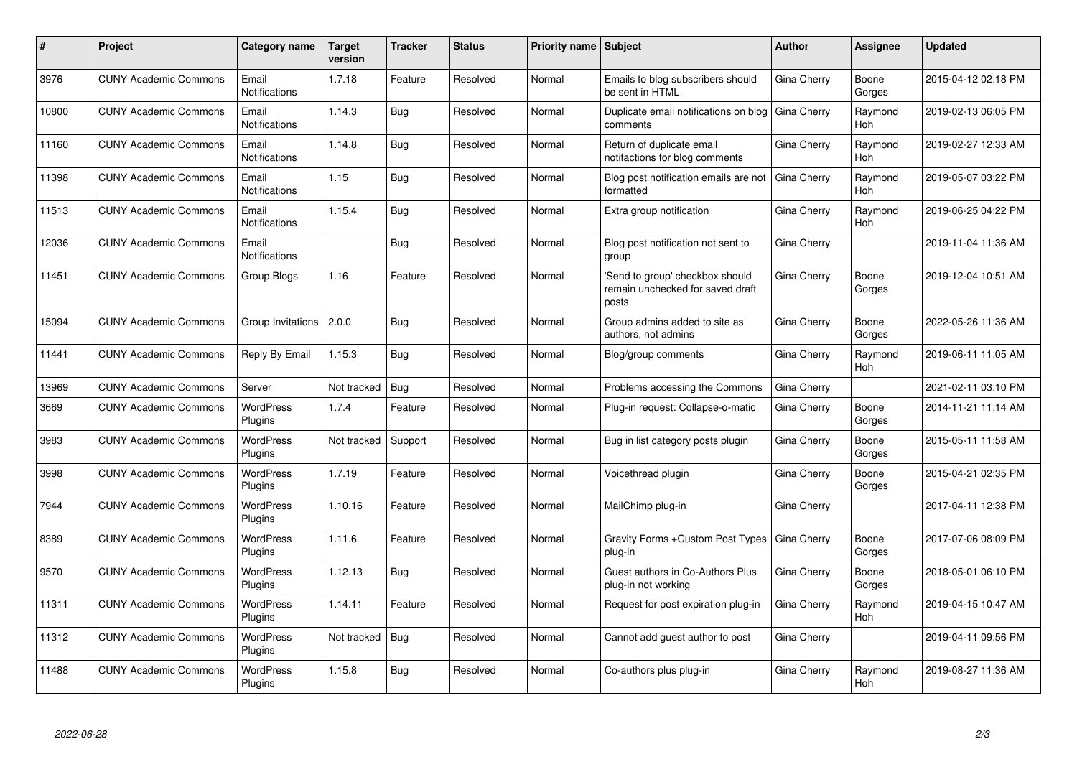| #     | Project                      | <b>Category name</b>          | <b>Target</b><br>version | Tracker    | <b>Status</b> | <b>Priority name</b> | <b>Subject</b>                                                               | <b>Author</b> | Assignee        | <b>Updated</b>      |
|-------|------------------------------|-------------------------------|--------------------------|------------|---------------|----------------------|------------------------------------------------------------------------------|---------------|-----------------|---------------------|
| 3976  | <b>CUNY Academic Commons</b> | Email<br><b>Notifications</b> | 1.7.18                   | Feature    | Resolved      | Normal               | Emails to blog subscribers should<br>be sent in HTML                         | Gina Cherry   | Boone<br>Gorges | 2015-04-12 02:18 PM |
| 10800 | <b>CUNY Academic Commons</b> | Email<br><b>Notifications</b> | 1.14.3                   | Bug        | Resolved      | Normal               | Duplicate email notifications on blog<br>comments                            | Gina Cherry   | Raymond<br>Hoh  | 2019-02-13 06:05 PM |
| 11160 | <b>CUNY Academic Commons</b> | Email<br><b>Notifications</b> | 1.14.8                   | <b>Bug</b> | Resolved      | Normal               | Return of duplicate email<br>notifactions for blog comments                  | Gina Cherry   | Raymond<br>Hoh  | 2019-02-27 12:33 AM |
| 11398 | <b>CUNY Academic Commons</b> | Email<br>Notifications        | 1.15                     | Bug        | Resolved      | Normal               | Blog post notification emails are not<br>formatted                           | Gina Cherry   | Raymond<br>Hoh  | 2019-05-07 03:22 PM |
| 11513 | <b>CUNY Academic Commons</b> | Email<br><b>Notifications</b> | 1.15.4                   | <b>Bug</b> | Resolved      | Normal               | Extra group notification                                                     | Gina Cherry   | Raymond<br>Hoh  | 2019-06-25 04:22 PM |
| 12036 | <b>CUNY Academic Commons</b> | Email<br>Notifications        |                          | Bug        | Resolved      | Normal               | Blog post notification not sent to<br>group                                  | Gina Cherry   |                 | 2019-11-04 11:36 AM |
| 11451 | <b>CUNY Academic Commons</b> | Group Blogs                   | 1.16                     | Feature    | Resolved      | Normal               | 'Send to group' checkbox should<br>remain unchecked for saved draft<br>posts | Gina Cherry   | Boone<br>Gorges | 2019-12-04 10:51 AM |
| 15094 | <b>CUNY Academic Commons</b> | Group Invitations             | 2.0.0                    | Bug        | Resolved      | Normal               | Group admins added to site as<br>authors, not admins                         | Gina Cherry   | Boone<br>Gorges | 2022-05-26 11:36 AM |
| 11441 | <b>CUNY Academic Commons</b> | Reply By Email                | 1.15.3                   | Bug        | Resolved      | Normal               | Blog/group comments                                                          | Gina Cherry   | Raymond<br>Hoh  | 2019-06-11 11:05 AM |
| 13969 | <b>CUNY Academic Commons</b> | Server                        | Not tracked              | <b>Bug</b> | Resolved      | Normal               | Problems accessing the Commons                                               | Gina Cherry   |                 | 2021-02-11 03:10 PM |
| 3669  | <b>CUNY Academic Commons</b> | <b>WordPress</b><br>Plugins   | 1.7.4                    | Feature    | Resolved      | Normal               | Plug-in request: Collapse-o-matic                                            | Gina Cherry   | Boone<br>Gorges | 2014-11-21 11:14 AM |
| 3983  | <b>CUNY Academic Commons</b> | <b>WordPress</b><br>Plugins   | Not tracked              | Support    | Resolved      | Normal               | Bug in list category posts plugin                                            | Gina Cherry   | Boone<br>Gorges | 2015-05-11 11:58 AM |
| 3998  | <b>CUNY Academic Commons</b> | <b>WordPress</b><br>Plugins   | 1.7.19                   | Feature    | Resolved      | Normal               | Voicethread plugin                                                           | Gina Cherry   | Boone<br>Gorges | 2015-04-21 02:35 PM |
| 7944  | <b>CUNY Academic Commons</b> | <b>WordPress</b><br>Plugins   | 1.10.16                  | Feature    | Resolved      | Normal               | MailChimp plug-in                                                            | Gina Cherry   |                 | 2017-04-11 12:38 PM |
| 8389  | <b>CUNY Academic Commons</b> | WordPress<br>Plugins          | 1.11.6                   | Feature    | Resolved      | Normal               | Gravity Forms + Custom Post Types<br>plug-in                                 | Gina Cherry   | Boone<br>Gorges | 2017-07-06 08:09 PM |
| 9570  | <b>CUNY Academic Commons</b> | <b>WordPress</b><br>Plugins   | 1.12.13                  | <b>Bug</b> | Resolved      | Normal               | Guest authors in Co-Authors Plus<br>plug-in not working                      | Gina Cherry   | Boone<br>Gorges | 2018-05-01 06:10 PM |
| 11311 | <b>CUNY Academic Commons</b> | <b>WordPress</b><br>Plugins   | 1.14.11                  | Feature    | Resolved      | Normal               | Request for post expiration plug-in                                          | Gina Cherry   | Raymond<br>Hoh  | 2019-04-15 10:47 AM |
| 11312 | <b>CUNY Academic Commons</b> | <b>WordPress</b><br>Plugins   | Not tracked              | Bug        | Resolved      | Normal               | Cannot add guest author to post                                              | Gina Cherry   |                 | 2019-04-11 09:56 PM |
| 11488 | <b>CUNY Academic Commons</b> | <b>WordPress</b><br>Plugins   | 1.15.8                   | <b>Bug</b> | Resolved      | Normal               | Co-authors plus plug-in                                                      | Gina Cherry   | Raymond<br>Hoh  | 2019-08-27 11:36 AM |